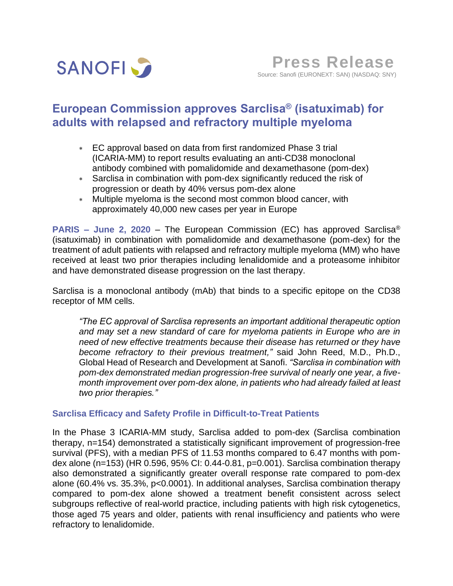

# **European Commission approves Sarclisa® (isatuximab) for adults with relapsed and refractory multiple myeloma**

- EC approval based on data from first randomized Phase 3 trial (ICARIA-MM) to report results evaluating an anti-CD38 monoclonal antibody combined with pomalidomide and dexamethasone (pom-dex)
- Sarclisa in combination with pom-dex significantly reduced the risk of progression or death by 40% versus pom-dex alone
- Multiple myeloma is the second most common blood cancer, with approximately 40,000 new cases per year in Europe

**PARIS – June 2, 2020** – The European Commission (EC) has approved Sarclisa® (isatuximab) in combination with pomalidomide and dexamethasone (pom-dex) for the treatment of adult patients with relapsed and refractory multiple myeloma (MM) who have received at least two prior therapies including lenalidomide and a proteasome inhibitor and have demonstrated disease progression on the last therapy.

Sarclisa is a monoclonal antibody (mAb) that binds to a specific epitope on the CD38 receptor of MM cells.

*"The EC approval of Sarclisa represents an important additional therapeutic option and may set a new standard of care for myeloma patients in Europe who are in need of new effective treatments because their disease has returned or they have become refractory to their previous treatment,"* said John Reed, M.D., Ph.D., Global Head of Research and Development at Sanofi. *"Sarclisa in combination with pom-dex demonstrated median progression-free survival of nearly one year, a fivemonth improvement over pom-dex alone, in patients who had already failed at least two prior therapies."*

### **Sarclisa Efficacy and Safety Profile in Difficult-to-Treat Patients**

In the Phase 3 ICARIA-MM study, Sarclisa added to pom-dex (Sarclisa combination therapy, n=154) demonstrated a statistically significant improvement of progression-free survival (PFS), with a median PFS of 11.53 months compared to 6.47 months with pomdex alone (n=153) (HR 0.596, 95% CI: 0.44-0.81, p=0.001). Sarclisa combination therapy also demonstrated a significantly greater overall response rate compared to pom-dex alone (60.4% vs. 35.3%, p<0.0001). In additional analyses, Sarclisa combination therapy compared to pom-dex alone showed a treatment benefit consistent across select subgroups reflective of real-world practice, including patients with high risk cytogenetics, those aged 75 years and older, patients with renal insufficiency and patients who were refractory to lenalidomide.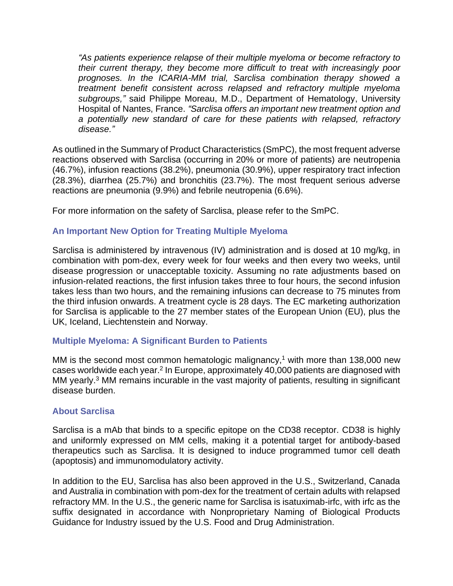*"As patients experience relapse of their multiple myeloma or become refractory to their current therapy, they become more difficult to treat with increasingly poor prognoses. In the ICARIA-MM trial, Sarclisa combination therapy showed a treatment benefit consistent across relapsed and refractory multiple myeloma subgroups,"* said Philippe Moreau, M.D., Department of Hematology, University Hospital of Nantes, France. *"Sarclisa offers an important new treatment option and a potentially new standard of care for these patients with relapsed, refractory disease."*

As outlined in the Summary of Product Characteristics (SmPC), the most frequent adverse reactions observed with Sarclisa (occurring in 20% or more of patients) are neutropenia (46.7%), infusion reactions (38.2%), pneumonia (30.9%), upper respiratory tract infection (28.3%), diarrhea (25.7%) and bronchitis (23.7%). The most frequent serious adverse reactions are pneumonia (9.9%) and febrile neutropenia (6.6%).

For more information on the safety of Sarclisa, please refer to the SmPC.

## **An Important New Option for Treating Multiple Myeloma**

Sarclisa is administered by intravenous (IV) administration and is dosed at 10 mg/kg, in combination with pom-dex, every week for four weeks and then every two weeks, until disease progression or unacceptable toxicity. Assuming no rate adjustments based on infusion-related reactions, the first infusion takes three to four hours, the second infusion takes less than two hours, and the remaining infusions can decrease to 75 minutes from the third infusion onwards. A treatment cycle is 28 days. The EC marketing authorization for Sarclisa is applicable to the 27 member states of the European Union (EU), plus the UK, Iceland, Liechtenstein and Norway.

### **Multiple Myeloma: A Significant Burden to Patients**

MM is the second most common hematologic malignancy,<sup>1</sup> with more than 138,000 new cases worldwide each year.<sup>2</sup> In Europe, approximately 40,000 patients are diagnosed with MM yearly.<sup>3</sup> MM remains incurable in the vast majority of patients, resulting in significant disease burden.

### **About Sarclisa**

Sarclisa is a mAb that binds to a specific epitope on the CD38 receptor. CD38 is highly and uniformly expressed on MM cells, making it a potential target for antibody-based therapeutics such as Sarclisa. It is designed to induce programmed tumor cell death (apoptosis) and immunomodulatory activity.

In addition to the EU, Sarclisa has also been approved in the U.S., Switzerland, Canada and Australia in combination with pom-dex for the treatment of certain adults with relapsed refractory MM. In the U.S., the generic name for Sarclisa is isatuximab-irfc, with irfc as the suffix designated in accordance with Nonproprietary Naming of Biological Products Guidance for Industry issued by the U.S. Food and Drug Administration.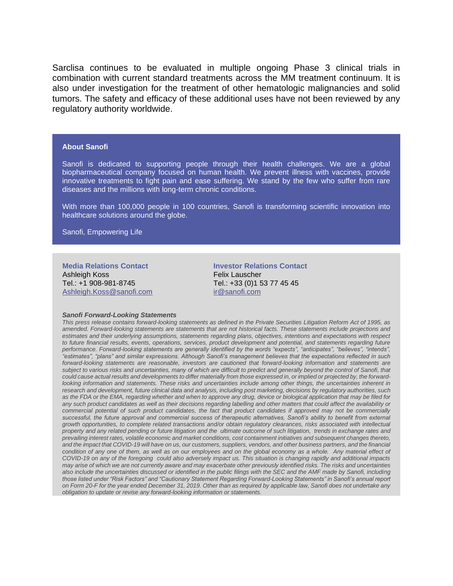Sarclisa continues to be evaluated in multiple ongoing Phase 3 clinical trials in combination with current standard treatments across the MM treatment continuum. It is also under investigation for the treatment of other hematologic malignancies and solid tumors. The safety and efficacy of these additional uses have not been reviewed by any regulatory authority worldwide.

#### **About Sanofi**

Sanofi is dedicated to supporting people through their health challenges. We are a global biopharmaceutical company focused on human health. We prevent illness with vaccines, provide innovative treatments to fight pain and ease suffering. We stand by the few who suffer from rare diseases and the millions with long-term chronic conditions.

With more than 100,000 people in 100 countries, Sanofi is transforming scientific innovation into healthcare solutions around the globe.

Sanofi, Empowering Life

**Media Relations Contact** Ashleigh Koss Tel.: +1 908-981-8745 [Ashleigh.Koss@sanofi.com](file:///C:/Users/kleinb/AppData/Local/Microsoft/Windows/INetCache/Content.Outlook/95SPN63Z/Ashleigh.Koss@sanofi.com)

**Investor Relations Contact** Felix Lauscher Tel.: +33 (0)1 53 77 45 45 [ir@sanofi.com](mailto:ir@sanofi.com)

#### *Sanofi Forward-Looking Statements*

*This press release contains forward-looking statements as defined in the Private Securities Litigation Reform Act of 1995, as amended. Forward-looking statements are statements that are not historical facts. These statements include projections and estimates and their underlying assumptions, statements regarding plans, objectives, intentions and expectations with respect to future financial results, events, operations, services, product development and potential, and statements regarding future performance. Forward-looking statements are generally identified by the words "expects", "anticipates", "believes", "intends", "estimates", "plans" and similar expressions. Although Sanofi's management believes that the expectations reflected in such forward-looking statements are reasonable, investors are cautioned that forward-looking information and statements are subject to various risks and uncertainties, many of which are difficult to predict and generally beyond the control of Sanofi, that could cause actual results and developments to differ materially from those expressed in, or implied or projected by, the forwardlooking information and statements. These risks and uncertainties include among other things, the uncertainties inherent in research and development, future clinical data and analysis, including post marketing, decisions by regulatory authorities, such as the FDA or the EMA, regarding whether and when to approve any drug, device or biological application that may be filed for any such product candidates as well as their decisions regarding labelling and other matters that could affect the availability or commercial potential of such product candidates, the fact that product candidates if approved may not be commercially successful, the future approval and commercial success of therapeutic alternatives, Sanofi's ability to benefit from external growth opportunities, to complete related transactions and/or obtain regulatory clearances, risks associated with intellectual property and any related pending or future litigation and the ultimate outcome of such litigation, trends in exchange rates and prevailing interest rates, volatile economic and market conditions, cost containment initiatives and subsequent changes thereto, and the impact that COVID-19 will have on us, our customers, suppliers, vendors, and other business partners, and the financial condition of any one of them, as well as on our employees and on the global economy as a whole. Any material effect of COVID-19 on any of the foregoing could also adversely impact us. This situation is changing rapidly and additional impacts may arise of which we are not currently aware and may exacerbate other previously identified risks. The risks and uncertainties also include the uncertainties discussed or identified in the public filings with the SEC and the AMF made by Sanofi, including those listed under "Risk Factors" and "Cautionary Statement Regarding Forward-Looking Statements" in Sanofi's annual report on Form 20-F for the year ended December 31, 2019. Other than as required by applicable law, Sanofi does not undertake any obligation to update or revise any forward-looking information or statements.*